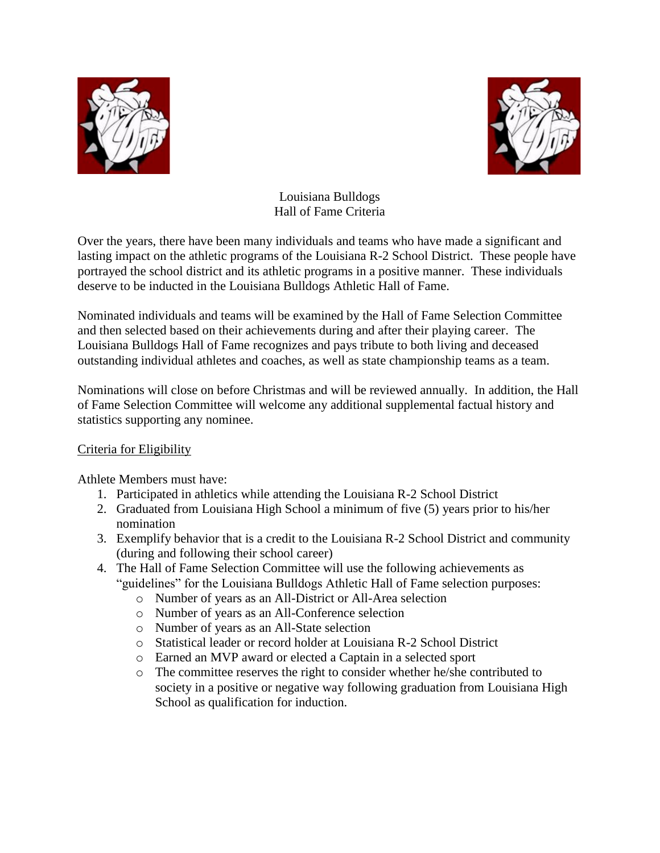



Louisiana Bulldogs Hall of Fame Criteria

Over the years, there have been many individuals and teams who have made a significant and lasting impact on the athletic programs of the Louisiana R-2 School District. These people have portrayed the school district and its athletic programs in a positive manner. These individuals deserve to be inducted in the Louisiana Bulldogs Athletic Hall of Fame.

Nominated individuals and teams will be examined by the Hall of Fame Selection Committee and then selected based on their achievements during and after their playing career. The Louisiana Bulldogs Hall of Fame recognizes and pays tribute to both living and deceased outstanding individual athletes and coaches, as well as state championship teams as a team.

Nominations will close on before Christmas and will be reviewed annually. In addition, the Hall of Fame Selection Committee will welcome any additional supplemental factual history and statistics supporting any nominee.

## Criteria for Eligibility

Athlete Members must have:

- 1. Participated in athletics while attending the Louisiana R-2 School District
- 2. Graduated from Louisiana High School a minimum of five (5) years prior to his/her nomination
- 3. Exemplify behavior that is a credit to the Louisiana R-2 School District and community (during and following their school career)
- 4. The Hall of Fame Selection Committee will use the following achievements as "guidelines" for the Louisiana Bulldogs Athletic Hall of Fame selection purposes:
	- o Number of years as an All-District or All-Area selection
	- o Number of years as an All-Conference selection
	- o Number of years as an All-State selection
	- o Statistical leader or record holder at Louisiana R-2 School District
	- o Earned an MVP award or elected a Captain in a selected sport
	- o The committee reserves the right to consider whether he/she contributed to society in a positive or negative way following graduation from Louisiana High School as qualification for induction.